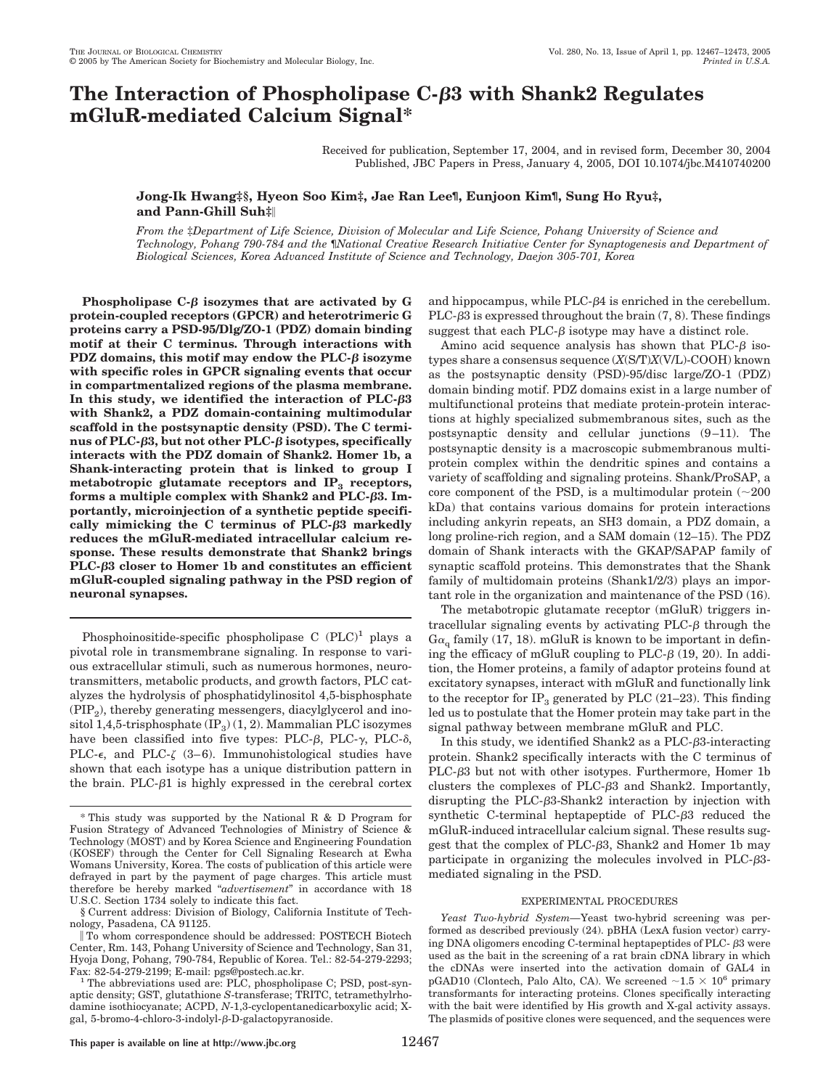# **The Interaction of Phospholipase C-3 with Shank2 Regulates mGluR-mediated Calcium Signal\***

Received for publication, September 17, 2004, and in revised form, December 30, 2004 Published, JBC Papers in Press, January 4, 2005, DOI 10.1074/jbc.M410740200

**Jong-Ik Hwang‡§, Hyeon Soo Kim‡, Jae Ran Lee¶, Eunjoon Kim¶, Sung Ho Ryu‡, and Pann-Ghill Suh‡**

*From the* ‡*Department of Life Science, Division of Molecular and Life Science, Pohang University of Science and Technology, Pohang 790-784 and the* ¶*National Creative Research Initiative Center for Synaptogenesis and Department of Biological Sciences, Korea Advanced Institute of Science and Technology, Daejon 305-701, Korea*

**Phospholipase C-** $\beta$  **isozymes that are activated by G protein-coupled receptors (GPCR) and heterotrimeric G proteins carry a PSD-95/Dlg/ZO-1 (PDZ) domain binding motif at their C terminus. Through interactions with** PDZ domains, this motif may endow the  $PLC-\beta$  isozyme **with specific roles in GPCR signaling events that occur in compartmentalized regions of the plasma membrane.** In this study, we identified the interaction of  $PLC$ - $\beta$ 3 **with Shank2, a PDZ domain-containing multimodular scaffold in the postsynaptic density (PSD). The C termi**nus of PLC- $\beta$ 3, but not other PLC- $\beta$  isotypes, specifically **interacts with the PDZ domain of Shank2. Homer 1b, a Shank-interacting protein that is linked to group I** metabotropic glutamate receptors and  $IP_3$  receptors, **forms a multiple complex with Shank2 and PLC-3. Importantly, microinjection of a synthetic peptide specifically mimicking the C terminus of PLC-3 markedly reduces the mGluR-mediated intracellular calcium response. These results demonstrate that Shank2 brings PLC-3 closer to Homer 1b and constitutes an efficient mGluR-coupled signaling pathway in the PSD region of neuronal synapses.**

Phosphoinositide-specific phospholipase C  $(PLC)^1$  plays a pivotal role in transmembrane signaling. In response to various extracellular stimuli, such as numerous hormones, neurotransmitters, metabolic products, and growth factors, PLC catalyzes the hydrolysis of phosphatidylinositol 4,5-bisphosphate  $(PIP<sub>2</sub>)$ , thereby generating messengers, diacylglycerol and inositol 1,4,5-trisphosphate  $(\text{IP}_3)(1, 2)$ . Mammalian PLC isozymes have been classified into five types: PLC- $\beta$ , PLC- $\gamma$ , PLC- $\delta$ , PLC- $\epsilon$ , and PLC- $\zeta$  (3-6). Immunohistological studies have shown that each isotype has a unique distribution pattern in the brain. PLC- $\beta$ 1 is highly expressed in the cerebral cortex

§ Current address: Division of Biology, California Institute of Technology, Pasadena, CA 91125.

and hippocampus, while  $PLC- $\beta$ 4$  is enriched in the cerebellum. PLC- $\beta$ 3 is expressed throughout the brain  $(7, 8)$ . These findings suggest that each PLC- $\beta$  isotype may have a distinct role.

Amino acid sequence analysis has shown that  $PLC-\beta$  isotypes share a consensus sequence (*X*(S/T)*X*(V/L)-COOH) known as the postsynaptic density (PSD)-95/disc large/ZO-1 (PDZ) domain binding motif. PDZ domains exist in a large number of multifunctional proteins that mediate protein-protein interactions at highly specialized submembranous sites, such as the postsynaptic density and cellular junctions (9 –11). The postsynaptic density is a macroscopic submembranous multiprotein complex within the dendritic spines and contains a variety of scaffolding and signaling proteins. Shank/ProSAP, a core component of the PSD, is a multimodular protein  $(\sim 200$ kDa) that contains various domains for protein interactions including ankyrin repeats, an SH3 domain, a PDZ domain, a long proline-rich region, and a SAM domain (12–15). The PDZ domain of Shank interacts with the GKAP/SAPAP family of synaptic scaffold proteins. This demonstrates that the Shank family of multidomain proteins (Shank1/2/3) plays an important role in the organization and maintenance of the PSD (16).

The metabotropic glutamate receptor (mGluR) triggers intracellular signaling events by activating  $PLC-\beta$  through the  $G_{\alpha}$  family (17, 18). mGluR is known to be important in defining the efficacy of mGluR coupling to PLC- $\beta$  (19, 20). In addition, the Homer proteins, a family of adaptor proteins found at excitatory synapses, interact with mGluR and functionally link to the receptor for  $IP_3$  generated by PLC (21–23). This finding led us to postulate that the Homer protein may take part in the signal pathway between membrane mGluR and PLC.

In this study, we identified Shank2 as a  $PLC-\beta3$ -interacting protein. Shank2 specifically interacts with the C terminus of  $PLC- $\beta$ 3 but not with other isotypes. Furthermore, Homer 1b$ clusters the complexes of PLC- $\beta$ 3 and Shank2. Importantly, disrupting the PLC- $\beta$ 3-Shank2 interaction by injection with synthetic C-terminal heptapeptide of  $PLC-\beta3$  reduced the mGluR-induced intracellular calcium signal. These results suggest that the complex of PLC-3, Shank2 and Homer 1b may participate in organizing the molecules involved in  $PLC- $\beta$ 3$ mediated signaling in the PSD.

## EXPERIMENTAL PROCEDURES

*Yeast Two-hybrid System—*Yeast two-hybrid screening was performed as described previously (24). pBHA (LexA fusion vector) carrying DNA oligomers encoding C-terminal heptapeptides of PLC- $\beta$ 3 were used as the bait in the screening of a rat brain cDNA library in which the cDNAs were inserted into the activation domain of GAL4 in pGAD10 (Clontech, Palo Alto, CA). We screened  $\sim 1.5 \times 10^6$  primary transformants for interacting proteins. Clones specifically interacting with the bait were identified by His growth and X-gal activity assays. The plasmids of positive clones were sequenced, and the sequences were

<sup>\*</sup> This study was supported by the NationalR&D Program for Fusion Strategy of Advanced Technologies of Ministry of Science & Technology (MOST) and by Korea Science and Engineering Foundation (KOSEF) through the Center for Cell Signaling Research at Ewha Womans University, Korea. The costs of publication of this article were defrayed in part by the payment of page charges. This article must therefore be hereby marked "*advertisement*" in accordance with 18 U.S.C. Section 1734 solely to indicate this fact.

To whom correspondence should be addressed: POSTECH Biotech Center, Rm. 143, Pohang University of Science and Technology, San 31, Hyoja Dong, Pohang, 790-784, Republic of Korea. Tel.: 82-54-279-2293;

Fax: 82-54-279-2199; E-mail: pgs@postech.ac.kr.<br><sup>1</sup> The abbreviations used are: PLC, phospholipase C; PSD, post-synaptic density; GST, glutathione *S*-transferase; TRITC, tetramethylrhodamine isothiocyanate; ACPD, *N*-1,3-cyclopentanedicarboxylic acid; Xgal, 5-bromo-4-chloro-3-indolyl- $\beta$ -D-galactopyranoside.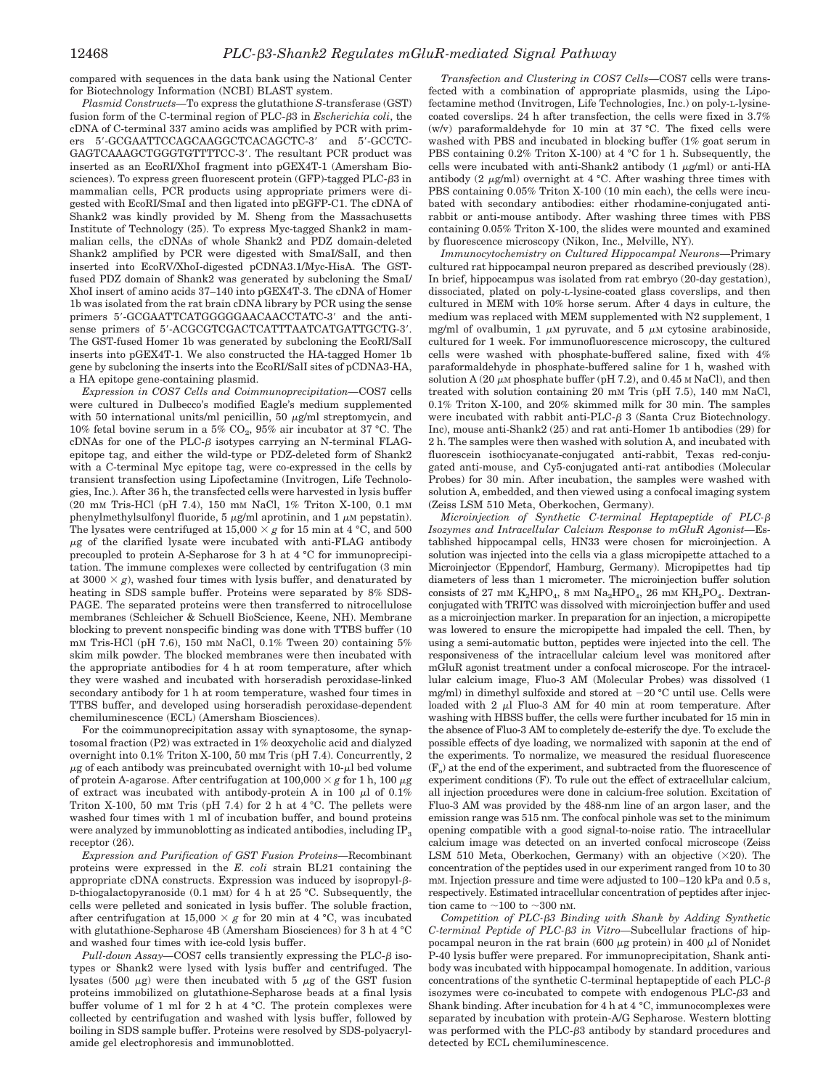compared with sequences in the data bank using the National Center for Biotechnology Information (NCBI) BLAST system.

*Plasmid Constructs—*To express the glutathione *S*-transferase (GST) fusion form of the C-terminal region of PLC-3 in *Escherichia coli*, the cDNA of C-terminal 337 amino acids was amplified by PCR with primers 5-GCGAATTCCAGCAAGGCTCACAGCTC-3 and 5-GCCTC-GAGTCAAAGCTGGGTGTTTTCC-3'. The resultant PCR product was inserted as an EcoRI/XhoI fragment into pGEX4T-1 (Amersham Biosciences). To express green fluorescent protein (GFP)-tagged PLC- $\beta$ 3 in mammalian cells, PCR products using appropriate primers were digested with EcoRI/SmaI and then ligated into pEGFP-C1. The cDNA of Shank2 was kindly provided by M. Sheng from the Massachusetts Institute of Technology (25). To express Myc-tagged Shank2 in mammalian cells, the cDNAs of whole Shank2 and PDZ domain-deleted Shank2 amplified by PCR were digested with SmaI/SalI, and then inserted into EcoRV/XhoI-digested pCDNA3.1/Myc-HisA. The GSTfused PDZ domain of Shank2 was generated by subcloning the SmaI/ XhoI insert of amino acids 37–140 into pGEX4T-3. The cDNA of Homer 1b was isolated from the rat brain cDNA library by PCR using the sense primers 5'-GCGAATTCATGGGGGAACAACCTATC-3' and the antisense primers of 5'-ACGCGTCGACTCATTTAATCATGATTGCTG-3'. The GST-fused Homer 1b was generated by subcloning the EcoRI/SalI inserts into pGEX4T-1. We also constructed the HA-tagged Homer 1b gene by subcloning the inserts into the EcoRI/SalI sites of pCDNA3-HA, a HA epitope gene-containing plasmid.

*Expression in COS7 Cells and Coimmunoprecipitation—*COS7 cells were cultured in Dulbecco's modified Eagle's medium supplemented with 50 international units/ml penicillin, 50  $\mu$ g/ml streptomycin, and 10% fetal bovine serum in a 5%  $CO_2$ , 95% air incubator at 37 °C. The cDNAs for one of the PLC- $\beta$  isotypes carrying an N-terminal FLAGepitope tag, and either the wild-type or PDZ-deleted form of Shank2 with a C-terminal Myc epitope tag, were co-expressed in the cells by transient transfection using Lipofectamine (Invitrogen, Life Technologies, Inc.). After 36 h, the transfected cells were harvested in lysis buffer (20 mM Tris-HCl (pH 7.4), 150 mM NaCl, 1% Triton X-100, 0.1 mM phenylmethylsulfonyl fluoride,  $5 \mu g/ml$  aprotinin, and  $1 \mu M$  pepstatin). The lysates were centrifuged at  $15,000 \times g$  for 15 min at 4 °C, and 500  $\mu$ g of the clarified lysate were incubated with anti-FLAG antibody precoupled to protein A-Sepharose for 3 h at 4 °C for immunoprecipitation. The immune complexes were collected by centrifugation (3 min at  $3000 \times g$ , washed four times with lysis buffer, and denaturated by heating in SDS sample buffer. Proteins were separated by 8% SDS-PAGE. The separated proteins were then transferred to nitrocellulose membranes (Schleicher & Schuell BioScience, Keene, NH). Membrane blocking to prevent nonspecific binding was done with TTBS buffer (10 mM Tris-HCl (pH 7.6), 150 mM NaCl, 0.1% Tween 20) containing 5% skim milk powder. The blocked membranes were then incubated with the appropriate antibodies for 4 h at room temperature, after which they were washed and incubated with horseradish peroxidase-linked secondary antibody for 1 h at room temperature, washed four times in TTBS buffer, and developed using horseradish peroxidase-dependent chemiluminescence (ECL) (Amersham Biosciences).

For the coimmunoprecipitation assay with synaptosome, the synaptosomal fraction (P2) was extracted in 1% deoxycholic acid and dialyzed overnight into 0.1% Triton X-100, 50 mM Tris (pH 7.4). Concurrently, 2  $\mu$ g of each antibody was preincubated overnight with 10- $\mu$ l bed volume of protein A-agarose. After centrifugation at  $100,000 \times g$  for 1 h,  $100 \mu g$ of extract was incubated with antibody-protein A in 100  $\mu$ l of 0.1% Triton X-100, 50 mm Tris (pH 7.4) for 2 h at  $4^{\circ}$ C. The pellets were washed four times with 1 ml of incubation buffer, and bound proteins were analyzed by immunoblotting as indicated antibodies, including  $IP_3$ receptor  $(26)$ .

*Expression and Purification of GST Fusion Proteins—*Recombinant proteins were expressed in the *E. coli* strain BL21 containing the appropriate cDNA constructs. Expression was induced by isopropyl- $\beta$ -D-thiogalactopyranoside (0.1 mM) for 4 h at 25 °C. Subsequently, the cells were pelleted and sonicated in lysis buffer. The soluble fraction, after centrifugation at  $15,000 \times g$  for 20 min at 4 °C, was incubated with glutathione-Sepharose 4B (Amersham Biosciences) for 3 h at 4 °C and washed four times with ice-cold lysis buffer.

 $Pull-down Assay$ — $COS7$  cells transiently expressing the PLC- $\beta$  isotypes or Shank2 were lysed with lysis buffer and centrifuged. The lysates (500  $\mu$ g) were then incubated with 5  $\mu$ g of the GST fusion proteins immobilized on glutathione-Sepharose beads at a final lysis buffer volume of 1 ml for 2 h at 4 °C. The protein complexes were collected by centrifugation and washed with lysis buffer, followed by boiling in SDS sample buffer. Proteins were resolved by SDS-polyacrylamide gel electrophoresis and immunoblotted.

*Transfection and Clustering in COS7 Cells—*COS7 cells were transfected with a combination of appropriate plasmids, using the Lipofectamine method (Invitrogen, Life Technologies, Inc.) on poly-L-lysinecoated coverslips. 24 h after transfection, the cells were fixed in 3.7% (w/v) paraformaldehyde for 10 min at 37 °C. The fixed cells were washed with PBS and incubated in blocking buffer (1% goat serum in PBS containing 0.2% Triton X-100) at 4 °C for 1 h. Subsequently, the cells were incubated with anti-Shank2 antibody  $(1 \mu g/ml)$  or anti-HA antibody (2  $\mu$ g/ml) overnight at 4 °C. After washing three times with PBS containing 0.05% Triton X-100 (10 min each), the cells were incubated with secondary antibodies: either rhodamine-conjugated antirabbit or anti-mouse antibody. After washing three times with PBS containing 0.05% Triton X-100, the slides were mounted and examined by fluorescence microscopy (Nikon, Inc., Melville, NY).

*Immunocytochemistry on Cultured Hippocampal Neurons—*Primary cultured rat hippocampal neuron prepared as described previously (28). In brief, hippocampus was isolated from rat embryo (20-day gestation), dissociated, plated on poly-L-lysine-coated glass coverslips, and then cultured in MEM with 10% horse serum. After 4 days in culture, the medium was replaced with MEM supplemented with N2 supplement, 1 mg/ml of ovalbumin, 1  $\mu$ M pyruvate, and 5  $\mu$ M cytosine arabinoside, cultured for 1 week. For immunofluorescence microscopy, the cultured cells were washed with phosphate-buffered saline, fixed with 4% paraformaldehyde in phosphate-buffered saline for 1 h, washed with solution A (20  $\mu$ M phosphate buffer (pH 7.2), and 0.45 M NaCl), and then treated with solution containing 20 mM Tris (pH 7.5), 140 mM NaCl, 0.1% Triton X-100, and 20% skimmed milk for 30 min. The samples were incubated with rabbit anti-PLC- $\beta$  3 (Santa Cruz Biotechnology. Inc), mouse anti-Shank2 (25) and rat anti-Homer 1b antibodies (29) for 2 h. The samples were then washed with solution A, and incubated with fluorescein isothiocyanate-conjugated anti-rabbit, Texas red-conjugated anti-mouse, and Cy5-conjugated anti-rat antibodies (Molecular Probes) for 30 min. After incubation, the samples were washed with solution A, embedded, and then viewed using a confocal imaging system (Zeiss LSM 510 Meta, Oberkochen, Germany).

*Microinjection of Synthetic C-terminal Heptapeptide of PLC- Isozymes and Intracellular Calcium Response to mGluR Agonist—*Established hippocampal cells, HN33 were chosen for microinjection. A solution was injected into the cells via a glass micropipette attached to a Microinjector (Eppendorf, Hamburg, Germany). Micropipettes had tip diameters of less than 1 micrometer. The microinjection buffer solution consists of 27 mm  $K_2HPO_4$ , 8 mm  $Na_2HPO_4$ , 26 mm  $KH_2PO_4$ . Dextranconjugated with TRITC was dissolved with microinjection buffer and used as a microinjection marker. In preparation for an injection, a micropipette was lowered to ensure the micropipette had impaled the cell. Then, by using a semi-automatic button, peptides were injected into the cell. The responsiveness of the intracellular calcium level was monitored after mGluR agonist treatment under a confocal microscope. For the intracellular calcium image, Fluo-3 AM (Molecular Probes) was dissolved (1 mg/ml) in dimethyl sulfoxide and stored at  $-20$  °C until use. Cells were loaded with  $2 \mu l$  Fluo-3 AM for 40 min at room temperature. After washing with HBSS buffer, the cells were further incubated for 15 min in the absence of Fluo-3 AM to completely de-esterify the dye. To exclude the possible effects of dye loading, we normalized with saponin at the end of the experiments. To normalize, we measured the residual fluorescence  $(F<sub>o</sub>)$  at the end of the experiment, and subtracted from the fluorescence of experiment conditions (F). To rule out the effect of extracellular calcium, all injection procedures were done in calcium-free solution. Excitation of Fluo-3 AM was provided by the 488-nm line of an argon laser, and the emission range was 515 nm. The confocal pinhole was set to the minimum opening compatible with a good signal-to-noise ratio. The intracellular calcium image was detected on an inverted confocal microscope (Zeiss LSM 510 Meta, Oberkochen, Germany) with an objective  $(\times 20)$ . The concentration of the peptides used in our experiment ranged from 10 to 30 mm. Injection pressure and time were adjusted to  $100-120$  kPa and  $0.5$  s, respectively. Estimated intracellular concentration of peptides after injection came to  $\sim$ 100 to  $\sim$ 300 nM.

*Competition of PLC-3 Binding with Shank by Adding Synthetic C-terminal Peptide of PLC-3 in Vitro—*Subcellular fractions of hippocampal neuron in the rat brain (600  $\mu$ g protein) in 400  $\mu$ l of Nonidet P-40 lysis buffer were prepared. For immunoprecipitation, Shank antibody was incubated with hippocampal homogenate. In addition, various concentrations of the synthetic C-terminal heptapeptide of each  $PLC-\beta$ isozymes were co-incubated to compete with endogenous PLC-3 and Shank binding. After incubation for 4 h at 4 °C, immunocomplexes were separated by incubation with protein-A/G Sepharose. Western blotting was performed with the PLC- $\beta$ 3 antibody by standard procedures and detected by ECL chemiluminescence.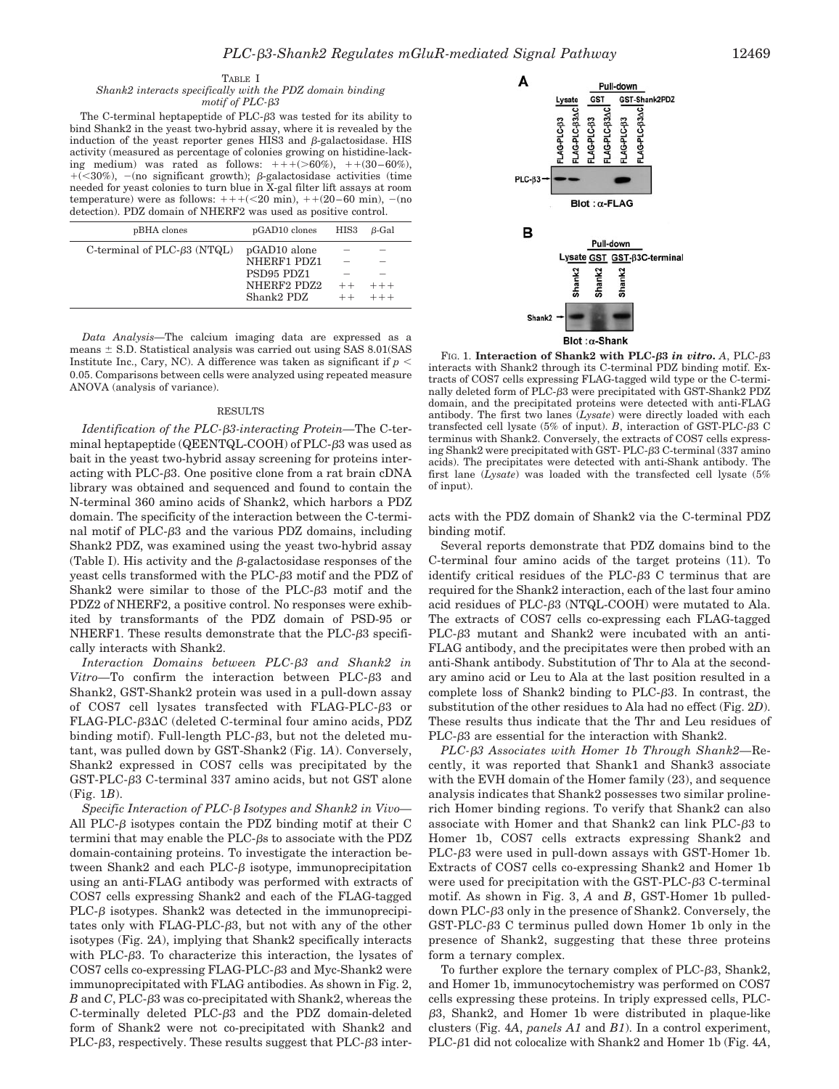#### TABLE I

#### *Shank2 interacts specifically with the PDZ domain binding motif of PLC-3*

The C-terminal heptapeptide of PLC- $\beta$ 3 was tested for its ability to bind Shank2 in the yeast two-hybrid assay, where it is revealed by the induction of the yeast reporter genes HIS3 and  $\beta$ -galactosidase. HIS activity (measured as percentage of colonies growing on histidine-lacking medium) was rated as follows:  $+++(-60\%)$ ,  $++(30-60\%)$ , +(<30%), -(no significant growth);  $\beta$ -galactosidase activities (time needed for yeast colonies to turn blue in X-gal filter lift assays at room temperature) were as follows:  $++( $20 \text{ min}$ ),  $++(20-60 \text{ min})$ ,  $-(\text{no})$$ detection). PDZ domain of NHERF2 was used as positive control.

| pBHA clones                       | pGAD10 clones | HIS3 | B-Gal      |
|-----------------------------------|---------------|------|------------|
| C-terminal of $PLC-\beta3 (NTQL)$ | pGAD10 alone  |      |            |
|                                   | NHERF1 PDZ1   |      |            |
|                                   | PSD95 PDZ1    |      |            |
|                                   | NHERF2 PDZ2   | $++$ | $+ + +$    |
|                                   | Shank2 PDZ    |      | $++ + + +$ |

*Data Analysis—*The calcium imaging data are expressed as a means  $\pm$  S.D. Statistical analysis was carried out using SAS 8.01(SAS Institute Inc., Cary, NC). A difference was taken as significant if  $p <$ 0.05. Comparisons between cells were analyzed using repeated measure ANOVA (analysis of variance).

# RESULTS

*Identification of the PLC-3-interacting Protein—*The C-terminal heptapeptide  $(QEENTQL-COOH)$  of  $PLC- $\beta$ 3 was used as$ bait in the yeast two-hybrid assay screening for proteins interacting with PLC-3. One positive clone from a rat brain cDNA library was obtained and sequenced and found to contain the N-terminal 360 amino acids of Shank2, which harbors a PDZ domain. The specificity of the interaction between the C-terminal motif of PLC- $\beta$ 3 and the various PDZ domains, including Shank2 PDZ, was examined using the yeast two-hybrid assay (Table I). His activity and the  $\beta$ -galactosidase responses of the yeast cells transformed with the PLC- $\beta$ 3 motif and the PDZ of Shank2 were similar to those of the PLC- $\beta$ 3 motif and the PDZ2 of NHERF2, a positive control. No responses were exhibited by transformants of the PDZ domain of PSD-95 or NHERF1. These results demonstrate that the PLC- $\beta$ 3 specifically interacts with Shank2.

*Interaction Domains between PLC-3 and Shank2 in* Vitro-To confirm the interaction between PLC- $\beta$ 3 and Shank2, GST-Shank2 protein was used in a pull-down assay of COS7 cell lysates transfected with FLAG-PLC-3 or FLAG-PLC- $\beta$ 3 $\Delta$ C (deleted C-terminal four amino acids, PDZ binding motif). Full-length PLC- $\beta$ 3, but not the deleted mutant, was pulled down by GST-Shank2 (Fig. 1*A*). Conversely, Shank2 expressed in COS7 cells was precipitated by the GST-PLC-3 C-terminal 337 amino acids, but not GST alone (Fig. 1*B*).

*Specific Interaction of PLC- Isotypes and Shank2 in Vivo—* All PLC- $\beta$  isotypes contain the PDZ binding motif at their C termini that may enable the PLC- $\beta$ s to associate with the PDZ domain-containing proteins. To investigate the interaction between Shank2 and each PLC- $\beta$  isotype, immunoprecipitation using an anti-FLAG antibody was performed with extracts of COS7 cells expressing Shank2 and each of the FLAG-tagged  $PLC- $\beta$  isotypes. Shank2 was detected in the immunoprecipi$ tates only with FLAG-PLC-3, but not with any of the other isotypes (Fig. 2*A*), implying that Shank2 specifically interacts with PLC- $\beta$ 3. To characterize this interaction, the lysates of COS7 cells co-expressing FLAG-PLC-3 and Myc-Shank2 were immunoprecipitated with FLAG antibodies. As shown in Fig. 2, *B* and *C*, PLC-3 was co-precipitated with Shank2, whereas the C-terminally deleted PLC-3 and the PDZ domain-deleted form of Shank2 were not co-precipitated with Shank2 and PLC-63, respectively. These results suggest that PLC-63 inter-



FIG. 1. **Interaction of Shank2 with PLC-3** *in vitro***.** *A*, PLC-3 interacts with Shank2 through its C-terminal PDZ binding motif. Extracts of COS7 cells expressing FLAG-tagged wild type or the C-terminally deleted form of PLC-3 were precipitated with GST-Shank2 PDZ domain, and the precipitated proteins were detected with anti-FLAG antibody. The first two lanes (*Lysate*) were directly loaded with each transfected cell lysate (5% of input). *B*, interaction of GST-PLC- $\beta$ 3 C terminus with Shank2. Conversely, the extracts of COS7 cells expressing Shank2 were precipitated with GST- PLC-3 C-terminal (337 amino acids). The precipitates were detected with anti-Shank antibody. The first lane (*Lysate*) was loaded with the transfected cell lysate (5% of input).

acts with the PDZ domain of Shank2 via the C-terminal PDZ binding motif.

Several reports demonstrate that PDZ domains bind to the C-terminal four amino acids of the target proteins (11). To identify critical residues of the PLC- $\beta$ 3 C terminus that are required for the Shank2 interaction, each of the last four amino acid residues of PLC-3 (NTQL-COOH) were mutated to Ala. The extracts of COS7 cells co-expressing each FLAG-tagged PLC- $\beta$ 3 mutant and Shank2 were incubated with an anti-FLAG antibody, and the precipitates were then probed with an anti-Shank antibody. Substitution of Thr to Ala at the secondary amino acid or Leu to Ala at the last position resulted in a complete loss of Shank2 binding to  $PLC- $\beta$ 3. In contrast, the$ substitution of the other residues to Ala had no effect (Fig. 2*D*). These results thus indicate that the Thr and Leu residues of PLC-3 are essential for the interaction with Shank2.

*PLC-3 Associates with Homer 1b Through Shank2—*Recently, it was reported that Shank1 and Shank3 associate with the EVH domain of the Homer family (23), and sequence analysis indicates that Shank2 possesses two similar prolinerich Homer binding regions. To verify that Shank2 can also associate with Homer and that Shank2 can link PLC- $\beta$ 3 to Homer 1b, COS7 cells extracts expressing Shank2 and  $PLC- $\beta$ 3 were used in pull-down assays with GST-Homer 1b.$ Extracts of COS7 cells co-expressing Shank2 and Homer 1b were used for precipitation with the GST-PLC-63 C-terminal motif. As shown in Fig. 3, *A* and *B*, GST-Homer 1b pulleddown PLC-3 only in the presence of Shank2. Conversely, the  $GST-PLC- $\beta$ 3 C terminus pulled down Homer 1b only in the$ presence of Shank2, suggesting that these three proteins form a ternary complex.

To further explore the ternary complex of PLC- $\beta$ 3, Shank2, and Homer 1b, immunocytochemistry was performed on COS7 cells expressing these proteins. In triply expressed cells, PLC- 3, Shank2, and Homer 1b were distributed in plaque-like clusters (Fig. 4*A*, *panels A1* and *B1*). In a control experiment, PLC- $\beta$ 1 did not colocalize with Shank2 and Homer 1b (Fig. 4A,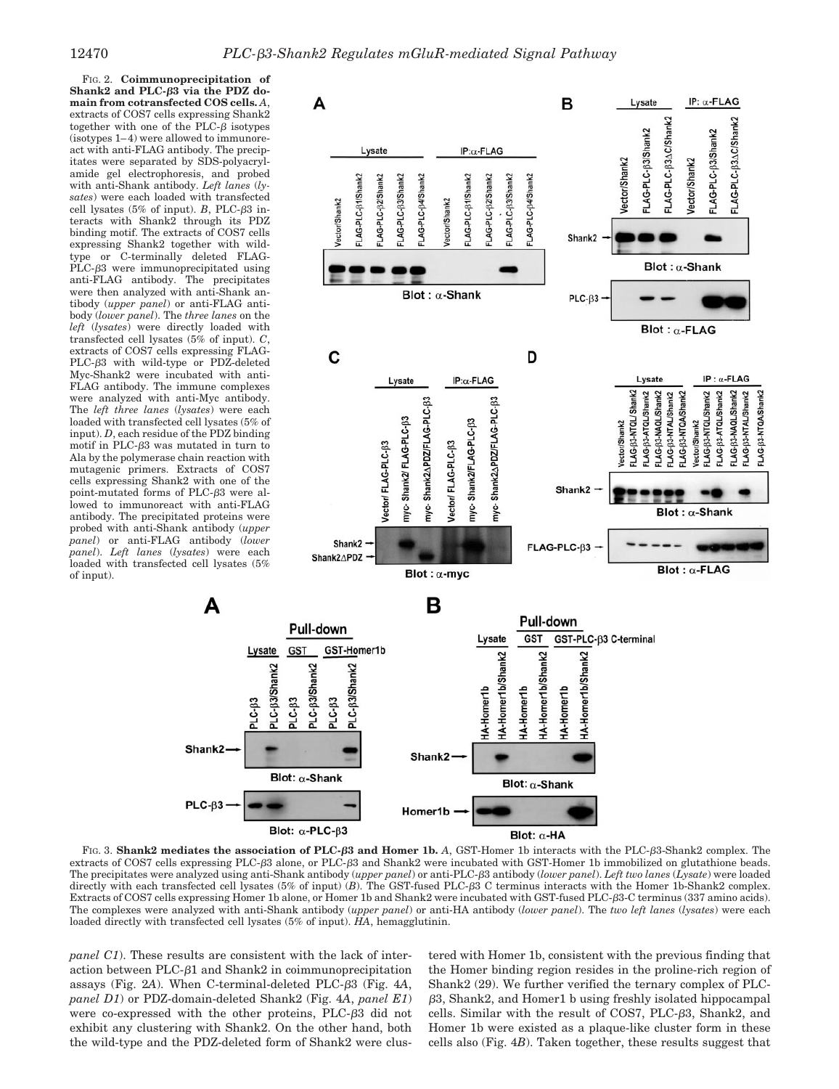FIG. 2. **Coimmunoprecipitation of Shank2 and PLC-3 via the PDZ domain from cotransfected COS cells.** *A*, extracts of COS7 cells expressing Shank2 together with one of the PLC- $\beta$  isotypes (isotypes 1– 4) were allowed to immunoreact with anti-FLAG antibody. The precipitates were separated by SDS-polyacrylamide gel electrophoresis, and probed with anti-Shank antibody. *Left lanes* (*lysates*) were each loaded with transfected cell lysates ( $5\%$  of input). *B*, PLC- $\beta$ 3 interacts with Shank2 through its PDZ binding motif. The extracts of COS7 cells expressing Shank2 together with wildtype or C-terminally deleted FLAG-PLC- $\beta$ 3 were immunoprecipitated using anti-FLAG antibody. The precipitates were then analyzed with anti-Shank antibody (*upper panel*) or anti-FLAG antibody (*lower panel*). The *three lanes* on the *left* (*lysates*) were directly loaded with transfected cell lysates (5% of input). *C*, extracts of COS7 cells expressing FLAG- $PLC- $\beta$ 3 with wild-type or PDZ-deleted$ Myc-Shank2 were incubated with anti-FLAG antibody. The immune complexes were analyzed with anti-Myc antibody. The *left three lanes* (*lysates*) were each loaded with transfected cell lysates (5% of input). *D*, each residue of the PDZ binding motif in PLC- $\beta$ 3 was mutated in turn to Ala by the polymerase chain reaction with mutagenic primers. Extracts of COS7 cells expressing Shank2 with one of the point-mutated forms of PLC- $\beta$ 3 were allowed to immunoreact with anti-FLAG antibody. The precipitated proteins were probed with anti-Shank antibody (*upper panel*) or anti-FLAG antibody (*lower panel*). *Left lanes* (*lysates*) were each loaded with transfected cell lysates (5% of input).

А

Shank2

 $PLC-\beta3$ 



extracts of COS7 cells expressing PLC- $\beta$ 3 alone, or PLC- $\beta$ 3 and Shank2 were incubated with GST-Homer 1b immobilized on glutathione beads. The precipitates were analyzed using anti-Shank antibody (*upper panel*) or anti-PLC-3 antibody (*lower panel*). *Left two lanes* (*Lysate*) were loaded directly with each transfected cell lysates (5% of input) (*B*). The GST-fused PLC-3 C terminus interacts with the Homer 1b-Shank2 complex. Extracts of COS7 cells expressing Homer 1b alone, or Homer 1b and Shank2 were incubated with GST-fused PLC-63-C terminus (337 amino acids). The complexes were analyzed with anti-Shank antibody (*upper panel*) or anti-HA antibody (*lower panel*). The *two left lanes* (*lysates*) were each loaded directly with transfected cell lysates (5% of input). *HA*, hemagglutinin.

*panel C1*). These results are consistent with the lack of interaction between PLC- $\beta$ 1 and Shank2 in coimmunoprecipitation assays (Fig. 2*A*). When C-terminal-deleted PLC-3 (Fig. 4*A*, *panel D1*) or PDZ-domain-deleted Shank2 (Fig. 4*A*, *panel E1*) were co-expressed with the other proteins, PLC- $\beta$ 3 did not exhibit any clustering with Shank2. On the other hand, both the wild-type and the PDZ-deleted form of Shank2 were clustered with Homer 1b, consistent with the previous finding that the Homer binding region resides in the proline-rich region of Shank2 (29). We further verified the ternary complex of PLC- 3, Shank2, and Homer1 b using freshly isolated hippocampal cells. Similar with the result of COS7, PLC-3, Shank2, and Homer 1b were existed as a plaque-like cluster form in these cells also (Fig. 4*B*). Taken together, these results suggest that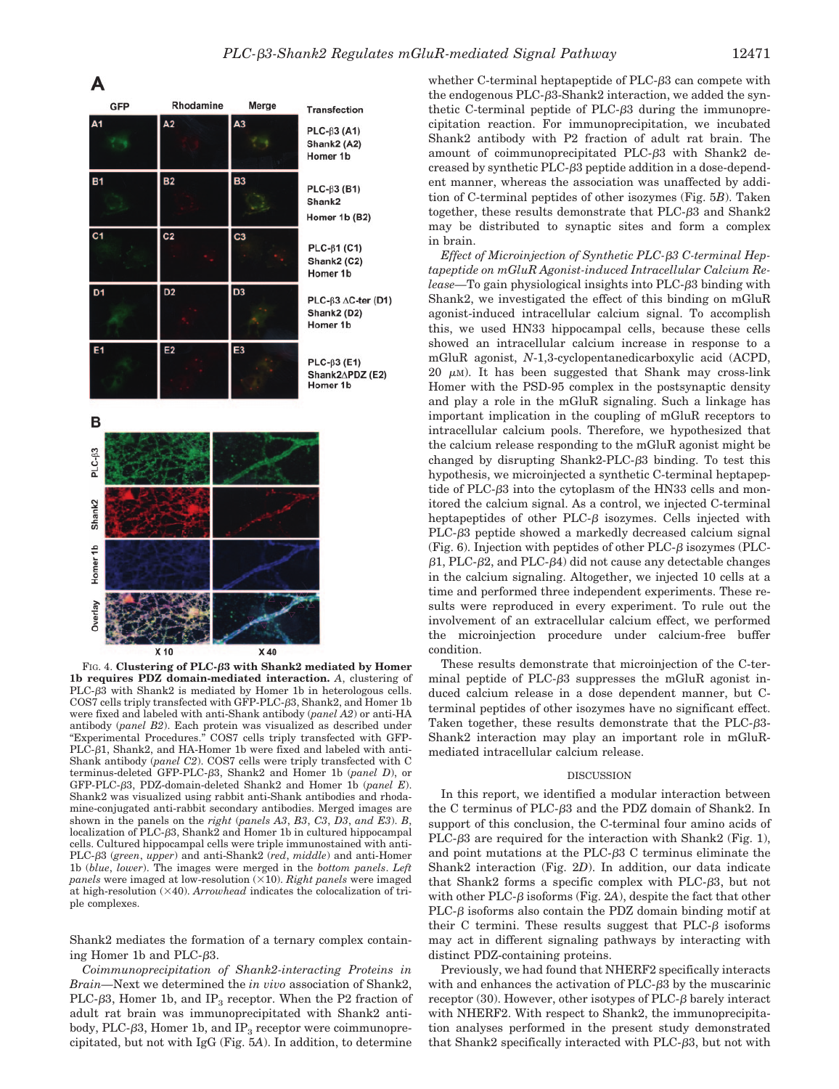

FIG. 4. **Clustering of PLC-3 with Shank2 mediated by Homer 1b requires PDZ domain-mediated interaction.** *A*, clustering of PLC- $\beta$ 3 with Shank2 is mediated by Homer 1b in heterologous cells. COS7 cells triply transfected with GFP-PLC-3, Shank2, and Homer 1b were fixed and labeled with anti-Shank antibody (*panel A2*) or anti-HA antibody (*panel B2*). Each protein was visualized as described under "Experimental Procedures." COS7 cells triply transfected with GFP-PLC- $\beta$ 1, Shank2, and HA-Homer 1b were fixed and labeled with anti-Shank antibody (*panel C2*). COS7 cells were triply transfected with C terminus-deleted GFP-PLC-3, Shank2 and Homer 1b (*panel D*), or GFP-PLC-3, PDZ-domain-deleted Shank2 and Homer 1b (*panel E*). Shank2 was visualized using rabbit anti-Shank antibodies and rhodamine-conjugated anti-rabbit secondary antibodies. Merged images are shown in the panels on the *right* (*panels A3*, *B3*, *C3*, *D3*, *and E3*). *B*, localization of PLC-3, Shank2 and Homer 1b in cultured hippocampal cells. Cultured hippocampal cells were triple immunostained with anti-PLC-3 (*green*, *upper*) and anti-Shank2 (*red*, *middle*) and anti-Homer 1b (*blue*, *lower*). The images were merged in the *bottom panels*. *Left panels* were imaged at low-resolution (×10). *Right panels* were imaged at high-resolution  $(\times 40)$ . *Arrowhead* indicates the colocalization of triple complexes.

Shank2 mediates the formation of a ternary complex containing Homer 1b and PLC- $\beta$ 3.

*Coimmunoprecipitation of Shank2-interacting Proteins in Brain—*Next we determined the *in vivo* association of Shank2, PLC- $\beta$ 3, Homer 1b, and IP<sub>3</sub> receptor. When the P2 fraction of adult rat brain was immunoprecipitated with Shank2 antibody, PLC- $\beta$ 3, Homer 1b, and IP<sub>3</sub> receptor were coimmunoprecipitated, but not with IgG (Fig. 5*A*). In addition, to determine

whether C-terminal heptapeptide of  $PLC-\beta3$  can compete with the endogenous  $PLC- $\beta$ 3-Shank2 interaction, we added the syn$ thetic C-terminal peptide of PLC- $\beta$ 3 during the immunoprecipitation reaction. For immunoprecipitation, we incubated Shank2 antibody with P2 fraction of adult rat brain. The amount of coimmunoprecipitated PLC- $\beta$ 3 with Shank2 decreased by synthetic PLC-3 peptide addition in a dose-dependent manner, whereas the association was unaffected by addition of C-terminal peptides of other isozymes (Fig. 5*B*). Taken together, these results demonstrate that  $PLC- $\beta$ 3 and Shank2$ may be distributed to synaptic sites and form a complex in brain.

*Effect of Microinjection of Synthetic PLC-3 C-terminal Heptapeptide on mGluR Agonist-induced Intracellular Calcium Release—*To gain physiological insights into PLC-3 binding with Shank2, we investigated the effect of this binding on mGluR agonist-induced intracellular calcium signal. To accomplish this, we used HN33 hippocampal cells, because these cells showed an intracellular calcium increase in response to a mGluR agonist, *N*-1,3-cyclopentanedicarboxylic acid (ACPD, 20  $\mu$ M). It has been suggested that Shank may cross-link Homer with the PSD-95 complex in the postsynaptic density and play a role in the mGluR signaling. Such a linkage has important implication in the coupling of mGluR receptors to intracellular calcium pools. Therefore, we hypothesized that the calcium release responding to the mGluR agonist might be changed by disrupting Shank2-PLC- $\beta$ 3 binding. To test this hypothesis, we microinjected a synthetic C-terminal heptapeptide of PLC- $\beta$ 3 into the cytoplasm of the HN33 cells and monitored the calcium signal. As a control, we injected C-terminal heptapeptides of other PLC- $\beta$  isozymes. Cells injected with PLC- $\beta$ 3 peptide showed a markedly decreased calcium signal (Fig. 6). Injection with peptides of other  $PLC-\beta$  isozymes (PLC- $\beta$ 1, PLC- $\beta$ 2, and PLC- $\beta$ 4) did not cause any detectable changes in the calcium signaling. Altogether, we injected 10 cells at a time and performed three independent experiments. These results were reproduced in every experiment. To rule out the involvement of an extracellular calcium effect, we performed the microinjection procedure under calcium-free buffer condition.

These results demonstrate that microinjection of the C-terminal peptide of PLC- $\beta$ 3 suppresses the mGluR agonist induced calcium release in a dose dependent manner, but Cterminal peptides of other isozymes have no significant effect. Taken together, these results demonstrate that the  $PLC- $\beta$ 3-$ Shank2 interaction may play an important role in mGluRmediated intracellular calcium release.

### DISCUSSION

In this report, we identified a modular interaction between the C terminus of PLC-3 and the PDZ domain of Shank2. In support of this conclusion, the C-terminal four amino acids of PLC- $\beta$ 3 are required for the interaction with Shank2 (Fig. 1), and point mutations at the PLC- $\beta$ 3 C terminus eliminate the Shank2 interaction (Fig. 2*D*). In addition, our data indicate that Shank2 forms a specific complex with PLC-3, but not with other PLC- $\beta$  isoforms (Fig. 2A), despite the fact that other  $PLC- $\beta$  isoforms also contain the PDZ domain binding motif at$ their C termini. These results suggest that  $PLC- $\beta$$  isoforms may act in different signaling pathways by interacting with distinct PDZ-containing proteins.

Previously, we had found that NHERF2 specifically interacts with and enhances the activation of PLC- $\beta$ 3 by the muscarinic receptor  $(30)$ . However, other isotypes of PLC- $\beta$  barely interact with NHERF2. With respect to Shank2, the immunoprecipitation analyses performed in the present study demonstrated that Shank2 specifically interacted with PLC-3, but not with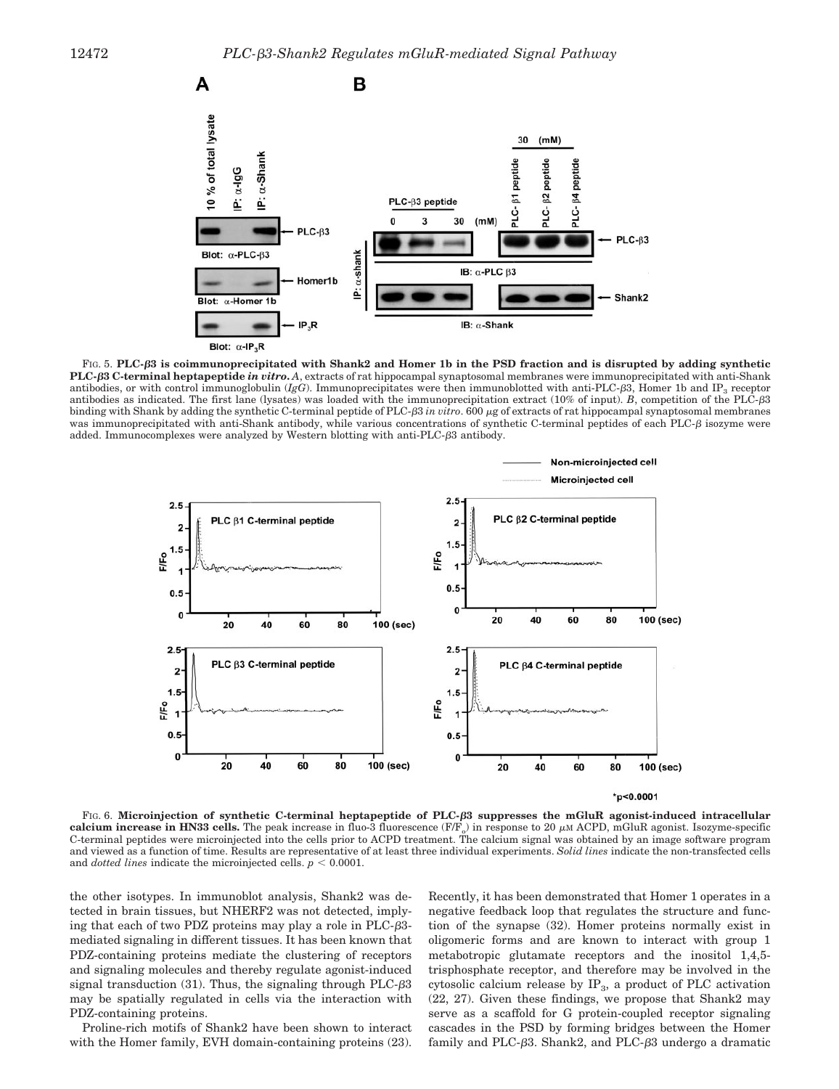

FIG. 5. **PLC-3 is coimmunoprecipitated with Shank2 and Homer 1b in the PSD fraction and is disrupted by adding synthetic PLC-3 C-terminal heptapeptide** *in vitro***.** *A*, extracts of rat hippocampal synaptosomal membranes were immunoprecipitated with anti-Shank antibodies, or with control immunoglobulin  $(I_{\beta}G)$ . Immunoprecipitates were then immunoblotted with anti-PLC- $\beta$ 3, Homer 1b and IP<sub>3</sub> receptor antibodies as indicated. The first lane (lysates) was loaded with the immunoprecipitation extract (10% of input). *B*, competition of the PLC-3 binding with Shank by adding the synthetic C-terminal peptide of PLC- $\beta$ 3 *in vitro*. 600  $\mu$ g of extracts of rat hippocampal synaptosomal membranes was immunoprecipitated with anti-Shank antibody, while various concentrations of synthetic C-terminal peptides of each PLC- $\beta$  isozyme were added. Immunocomplexes were analyzed by Western blotting with anti-PLC- $\beta$ 3 antibody.



FIG. 6. **Microinjection of synthetic C-terminal heptapeptide of PLC-3 suppresses the mGluR agonist-induced intracellular calcium increase in HN33 cells.** The peak increase in fluo-3 fluorescence  $(F/F<sub>o</sub>)$  in response to 20  $\mu$ M ACPD, mGluR agonist. Isozyme-specific C-terminal peptides were microinjected into the cells prior to ACPD treatment. The calcium signal was obtained by an image software program and viewed as a function of time. Results are representative of at least three individual experiments. *Solid lines* indicate the non-transfected cells and *dotted lines* indicate the microinjected cells.  $p < 0.0001$ .

the other isotypes. In immunoblot analysis, Shank2 was detected in brain tissues, but NHERF2 was not detected, implying that each of two PDZ proteins may play a role in  $PLC-<sub>\beta</sub>3$ mediated signaling in different tissues. It has been known that PDZ-containing proteins mediate the clustering of receptors and signaling molecules and thereby regulate agonist-induced signal transduction  $(31)$ . Thus, the signaling through PLC- $\beta$ 3 may be spatially regulated in cells via the interaction with PDZ-containing proteins.

Proline-rich motifs of Shank2 have been shown to interact with the Homer family, EVH domain-containing proteins  $(23)$ .

Recently, it has been demonstrated that Homer 1 operates in a negative feedback loop that regulates the structure and function of the synapse (32). Homer proteins normally exist in oligomeric forms and are known to interact with group 1 metabotropic glutamate receptors and the inositol 1,4,5 trisphosphate receptor, and therefore may be involved in the cytosolic calcium release by  $IP_3$ , a product of PLC activation (22, 27). Given these findings, we propose that Shank2 may serve as a scaffold for G protein-coupled receptor signaling cascades in the PSD by forming bridges between the Homer family and PLC- $\beta$ 3. Shank2, and PLC- $\beta$ 3 undergo a dramatic